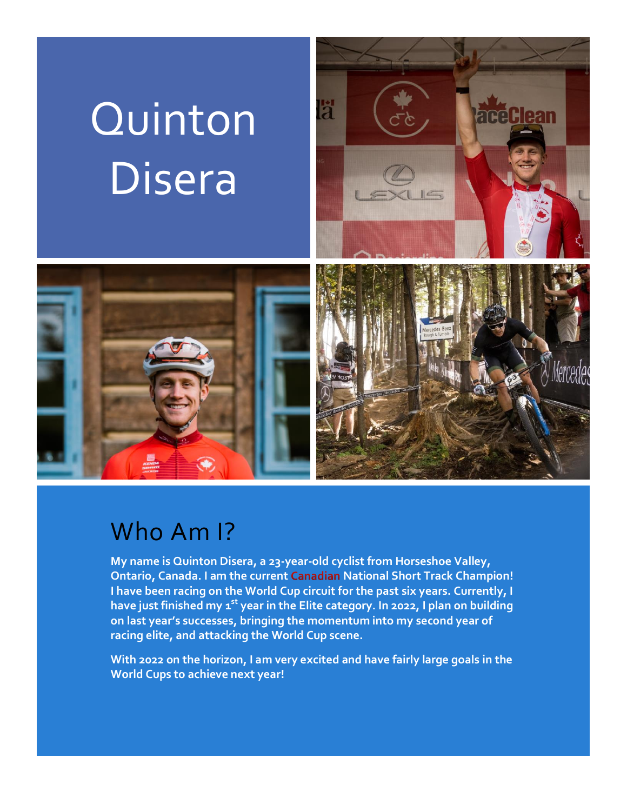# Quinton Disera





### Who Am I?

**My name is Quinton Disera, a 23-year-old cyclist from Horseshoe Valley, Ontario, Canada. I am the current Canadian National Short Track Champion! I have been racing on the World Cup circuit for the past six years. Currently, I have just finished my 1 st year in the Elite category. In 2022, I plan on building on last year's successes, bringing the momentum into my second year of racing elite, and attacking the World Cup scene.** 

**With 2022 on the horizon, I am very excited and have fairly large goals in the World Cups to achieve next year!**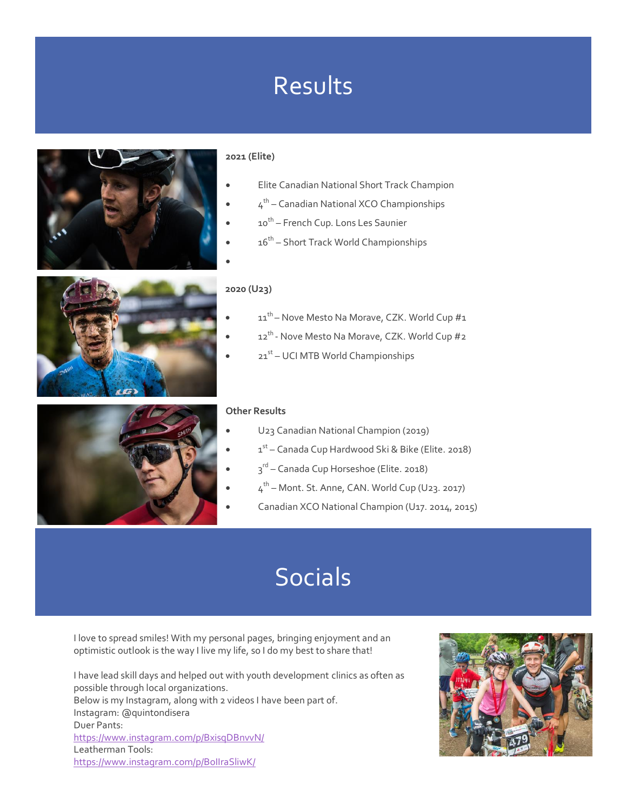## Results



#### **2021 (Elite)**

- Elite Canadian National Short Track Champion
- $\bullet$   $4^{\text{th}}$  Canadian National XCO Championships
- 10<sup>th</sup> French Cup. Lons Les Saunier
- 16<sup>th</sup> Short Track World Championships
- 

### **2020 (U23)**

- $11^{th}$  Nove Mesto Na Morave, CZK. World Cup  $#1$
- $\bullet$  12<sup>th</sup> Nove Mesto Na Morave, CZK. World Cup #2
- 21<sup>st</sup> UCI MTB World Championships

#### **Other Results**

- U23 Canadian National Champion (2019)
- 1<sup>st</sup> Canada Cup Hardwood Ski & Bike (Elite. 2018)
- $\bullet$   $3^{\text{rd}}$  Canada Cup Horseshoe (Elite. 2018)
- $\bullet$  4<sup>th</sup> Mont. St. Anne, CAN. World Cup (U23. 2017)
- Canadian XCO National Champion (U17. 2014, 2015)

### Socials

I love to spread smiles! With my personal pages, bringing enjoyment and an optimistic outlook is the way I live my life, so I do my best to share that!

I have lead skill days and helped out with youth development clinics as often as possible through local organizations. Below is my Instagram, along with 2 videos I have been part of. Instagram: @quintondisera Duer Pants: <https://www.instagram.com/p/BxisqDBnvvN/> Leatherman Tools: <https://www.instagram.com/p/BoIIraSliwK/>